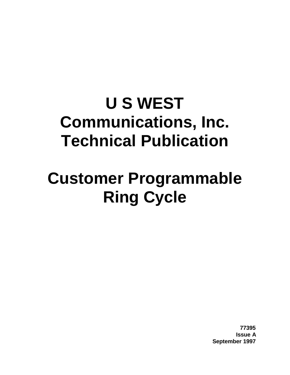# **U S WEST Communications, Inc. Technical Publication**

# **Customer Programmable Ring Cycle**

**77395 Issue A September 1997**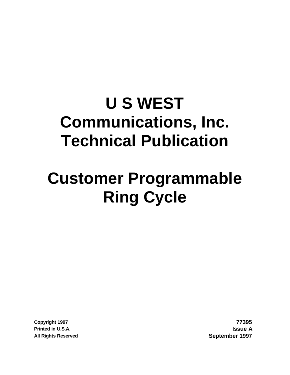# **U S WEST Communications, Inc. Technical Publication**

# **Customer Programmable Ring Cycle**

**Copyright 1997 77395 Printed in U.S.A. Issue A All Rights Reserved September 1997**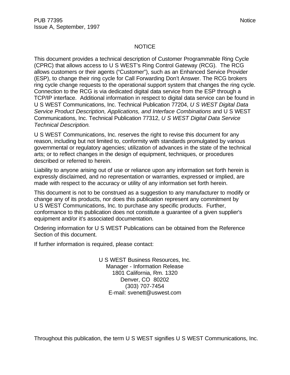#### NOTICE

This document provides a technical description of Customer Programmable Ring Cycle (CPRC) that allows access to U S WEST's Ring Control Gateway (RCG). The RCG allows customers or their agents ("Customer"), such as an Enhanced Service Provider (ESP), to change their ring cycle for Call Forwarding Don't Answer. The RCG brokers ring cycle change requests to the operational support system that changes the ring cycle. Connection to the RCG is via dedicated digital data service from the ESP through a TCP/IP interface. Additional information in respect to digital data service can be found in U S WEST Communications, Inc. Technical Publication 77204, *U S WEST Digital Data Service Product Description, Applications, and Interface Combinations* and U S WEST Communications, Inc. Technical Publication 77312, *U S WEST Digital Data Service Technical Description.*

U S WEST Communications, Inc. reserves the right to revise this document for any reason, including but not limited to, conformity with standards promulgated by various governmental or regulatory agencies; utilization of advances in the state of the technical arts; or to reflect changes in the design of equipment, techniques, or procedures described or referred to herein.

Liability to anyone arising out of use or reliance upon any information set forth herein is expressly disclaimed, and no representation or warranties, expressed or implied, are made with respect to the accuracy or utility of any information set forth herein.

This document is not to be construed as a suggestion to any manufacturer to modify or change any of its products, nor does this publication represent any commitment by U S WEST Communications, Inc. to purchase any specific products. Further, conformance to this publication does not constitute a guarantee of a given supplier's equipment and/or it's associated documentation.

Ordering information for U S WEST Publications can be obtained from the Reference Section of this document.

If further information is required, please contact:

U S WEST Business Resources, Inc. Manager - Information Release 1801 California, Rm. 1320 Denver, CO 80202 (303) 707-7454 E-mail: svenett@uswest.com

Throughout this publication, the term U S WEST signifies U S WEST Communications, Inc.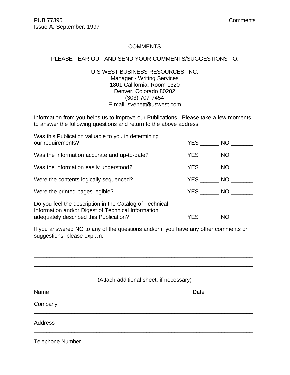#### **COMMENTS**

#### PLEASE TEAR OUT AND SEND YOUR COMMENTS/SUGGESTIONS TO:

U S WEST BUSINESS RESOURCES, INC. Manager - Writing Services 1801 California, Room 1320 Denver, Colorado 80202 (303) 707-7454 E-mail: svenett@uswest.com

Information from you helps us to improve our Publications. Please take a few moments to answer the following questions and return to the above address.

| Was this Publication valuable to you in determining<br>our requirements?                                                                                | YES NO |    |
|---------------------------------------------------------------------------------------------------------------------------------------------------------|--------|----|
| Was the information accurate and up-to-date?                                                                                                            | YES NO |    |
| Was the information easily understood?                                                                                                                  | YES NO |    |
| Were the contents logically sequenced?                                                                                                                  | YES NO |    |
| Were the printed pages legible?                                                                                                                         | YES NO |    |
| Do you feel the description in the Catalog of Technical<br>Information and/or Digest of Technical Information<br>adequately described this Publication? | YES    | NO |

If you answered NO to any of the questions and/or if you have any other comments or suggestions, please explain:

\_\_\_\_\_\_\_\_\_\_\_\_\_\_\_\_\_\_\_\_\_\_\_\_\_\_\_\_\_\_\_\_\_\_\_\_\_\_\_\_\_\_\_\_\_\_\_\_\_\_\_\_\_\_\_\_\_\_\_\_\_\_\_\_\_\_\_\_\_\_

|                         | (Attach additional sheet, if necessary) |
|-------------------------|-----------------------------------------|
|                         | Date _______________                    |
| Company                 |                                         |
| <b>Address</b>          |                                         |
| <b>Telephone Number</b> |                                         |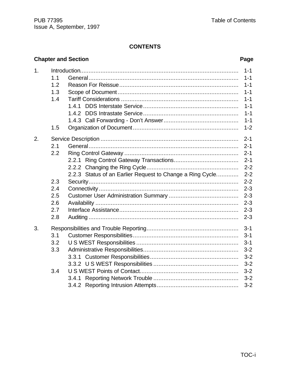# **Chapter and Section**

# Page

| 1. |     |                                                           | $1 - 1$ |
|----|-----|-----------------------------------------------------------|---------|
|    | 1.1 |                                                           | $1 - 1$ |
|    | 1.2 |                                                           | $1 - 1$ |
|    | 1.3 |                                                           | $1 - 1$ |
|    | 1.4 |                                                           | $1 - 1$ |
|    |     | 1.4.1                                                     | $1 - 1$ |
|    |     | 1.4.2                                                     | $1 - 1$ |
|    |     |                                                           | $1 - 1$ |
|    | 1.5 |                                                           | $1 - 2$ |
| 2. |     |                                                           | $2 - 1$ |
|    | 2.1 |                                                           | $2 - 1$ |
|    | 2.2 |                                                           | $2 - 1$ |
|    |     | 2.2.1                                                     | $2 - 1$ |
|    |     |                                                           | $2 - 2$ |
|    |     | 2.2.3 Status of an Earlier Request to Change a Ring Cycle | $2 - 2$ |
|    | 2.3 |                                                           | $2 - 2$ |
|    | 2.4 |                                                           | $2 - 3$ |
|    | 2.5 |                                                           | $2 - 3$ |
|    | 2.6 |                                                           | $2 - 3$ |
|    | 2.7 |                                                           | $2 - 3$ |
|    | 2.8 |                                                           | $2 - 3$ |
| 3. |     |                                                           | $3 - 1$ |
|    | 3.1 |                                                           | $3 - 1$ |
|    | 3.2 |                                                           | $3 - 1$ |
|    | 3.3 |                                                           | $3 - 2$ |
|    |     |                                                           | $3 - 2$ |
|    |     |                                                           | $3 - 2$ |
|    | 3.4 |                                                           | $3 - 2$ |
|    |     |                                                           | $3 - 2$ |
|    |     |                                                           | $3 - 2$ |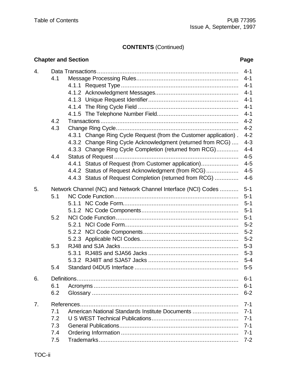# **CONTENTS** (Continued)

|                |     | <b>Chapter and Section</b>                                       | Page    |
|----------------|-----|------------------------------------------------------------------|---------|
| 4.             |     |                                                                  | $4 - 1$ |
|                | 4.1 |                                                                  | $4 - 1$ |
|                |     |                                                                  | $4 - 1$ |
|                |     |                                                                  | $4 - 1$ |
|                |     |                                                                  | $4 - 1$ |
|                |     |                                                                  | $4 - 1$ |
|                |     |                                                                  | $4 - 1$ |
|                | 4.2 |                                                                  | $4 - 2$ |
|                | 4.3 |                                                                  | $4 - 2$ |
|                |     | 4.3.1 Change Ring Cycle Request (from the Customer application). | $4 - 2$ |
|                |     | 4.3.2 Change Ring Cycle Acknowledgment (returned from RCG)       | $4 - 3$ |
|                |     | 4.3.3 Change Ring Cycle Completion (returned from RCG)           | $4 - 4$ |
|                | 4.4 |                                                                  | $4 - 5$ |
|                |     | 4.4.1 Status of Request (from Customer application)              | $4 - 5$ |
|                |     | 4.4.2 Status of Request Acknowledgment (from RCG)                | $4 - 5$ |
|                |     | 4.4.3 Status of Request Completion (returned from RCG)           | $4 - 6$ |
| 5.             |     | Network Channel (NC) and Network Channel Interface (NCI) Codes   | $5 - 1$ |
|                | 5.1 |                                                                  | $5 - 1$ |
|                |     |                                                                  | $5 - 1$ |
|                |     |                                                                  | $5 - 1$ |
|                | 5.2 |                                                                  | $5 - 1$ |
|                |     |                                                                  | $5-2$   |
|                |     |                                                                  | $5 - 2$ |
|                |     |                                                                  | $5 - 2$ |
|                | 5.3 |                                                                  | $5 - 3$ |
|                |     |                                                                  | $5 - 3$ |
|                |     |                                                                  | $5 - 4$ |
|                | 5.4 |                                                                  | $5-5$   |
| 6.             |     |                                                                  | $6 - 1$ |
|                | 6.1 |                                                                  | $6 - 1$ |
|                | 6.2 |                                                                  | $6 - 2$ |
| 7 <sub>1</sub> |     |                                                                  | $7 - 1$ |
|                | 7.1 | American National Standards Institute Documents                  | $7 - 1$ |
|                | 7.2 |                                                                  | $7 - 1$ |
|                | 7.3 |                                                                  | $7 - 1$ |
|                | 7.4 |                                                                  | $7 - 1$ |
|                | 7.5 |                                                                  | $7 - 2$ |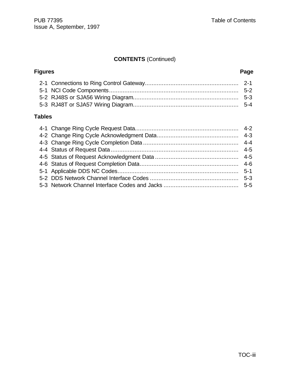# **CONTENTS** (Continued)

| Page |  |
|------|--|
|      |  |
|      |  |
|      |  |
|      |  |
|      |  |

#### **Tables**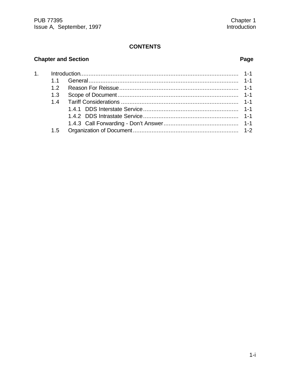# **Chapter and Section**

# Page

| 12  |  |
|-----|--|
| 1.3 |  |
|     |  |
|     |  |
|     |  |
|     |  |
| 1.5 |  |
|     |  |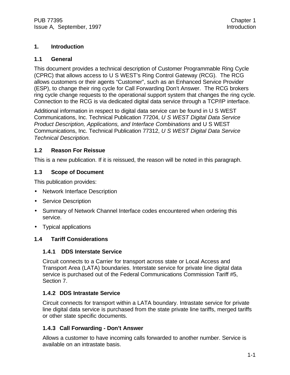#### **1. Introduction**

#### **1.1 General**

This document provides a technical description of Customer Programmable Ring Cycle (CPRC) that allows access to U S WEST's Ring Control Gateway (RCG). The RCG allows customers or their agents "Customer", such as an Enhanced Service Provider (ESP), to change their ring cycle for Call Forwarding Don't Answer. The RCG brokers ring cycle change requests to the operational support system that changes the ring cycle. Connection to the RCG is via dedicated digital data service through a TCP/IP interface.

Additional information in respect to digital data service can be found in U S WEST Communications, Inc. Technical Publication 77204, *U S WEST Digital Data Service Product Description, Applications, and Interface Combinations* and U S WEST Communications, Inc. Technical Publication 77312, *U S WEST Digital Data Service Technical Description.*

#### **1.2 Reason For Reissue**

This is a new publication. If it is reissued, the reason will be noted in this paragraph.

#### **1.3 Scope of Document**

This publication provides:

- Network Interface Description
- Service Description
- Summary of Network Channel Interface codes encountered when ordering this service.
- Typical applications

#### **1.4 Tariff Considerations**

#### **1.4.1 DDS Interstate Service**

Circuit connects to a Carrier for transport across state or Local Access and Transport Area (LATA) boundaries. Interstate service for private line digital data service is purchased out of the Federal Communications Commission Tariff #5, Section 7.

#### **1.4.2 DDS Intrastate Service**

Circuit connects for transport within a LATA boundary. Intrastate service for private line digital data service is purchased from the state private line tariffs, merged tariffs or other state specific documents.

#### **1.4.3 Call Forwarding - Don't Answer**

Allows a customer to have incoming calls forwarded to another number. Service is available on an intrastate basis.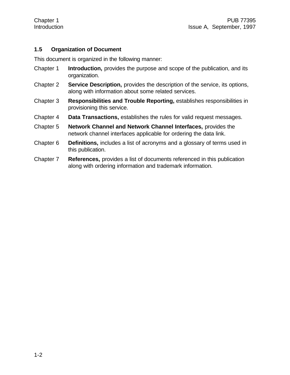#### **1.5 Organization of Document**

This document is organized in the following manner:

- Chapter 1 **Introduction,** provides the purpose and scope of the publication, and its organization.
- Chapter 2 **Service Description,** provides the description of the service, its options, along with information about some related services.
- Chapter 3 **Responsibilities and Trouble Reporting,** establishes responsibilities in provisioning this service.
- Chapter 4 **Data Transactions,** establishes the rules for valid request messages.
- Chapter 5 **Network Channel and Network Channel Interfaces,** provides the network channel interfaces applicable for ordering the data link.
- Chapter 6 **Definitions,** includes a list of acronyms and a glossary of terms used in this publication.
- Chapter 7 **References,** provides a list of documents referenced in this publication along with ordering information and trademark information.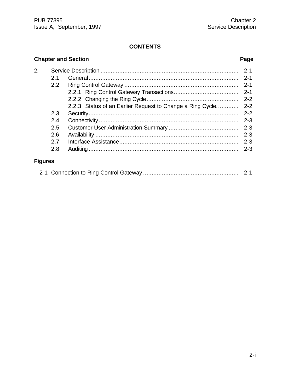# **Chapter and Section Page**

| 2.             |     |                                                           | $2 - 1$ |
|----------------|-----|-----------------------------------------------------------|---------|
|                | 2.1 |                                                           | $2 - 1$ |
|                | 2.2 |                                                           | $2 - 1$ |
|                |     |                                                           | $2 - 1$ |
|                |     |                                                           | $2 - 2$ |
|                |     | 2.2.3 Status of an Earlier Request to Change a Ring Cycle | $2 - 2$ |
|                | 2.3 |                                                           | $2 - 2$ |
|                | 2.4 |                                                           | $2 - 3$ |
|                | 2.5 |                                                           | $2 - 3$ |
|                | 2.6 |                                                           | $2 - 3$ |
|                | 27  |                                                           | $2 - 3$ |
|                | 2.8 |                                                           | $2 - 3$ |
| <b>Figures</b> |     |                                                           |         |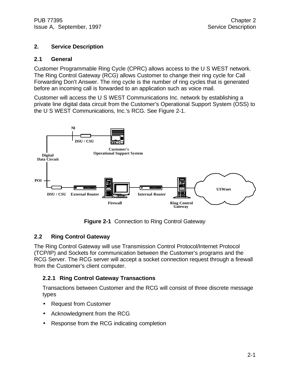#### **2. Service Description**

#### **2.1 General**

Customer Programmable Ring Cycle (CPRC) allows access to the U S WEST network. The Ring Control Gateway (RCG) allows Customer to change their ring cycle for Call Forwarding Don't Answer. The ring cycle is the number of ring cycles that is generated before an incoming call is forwarded to an application such as voice mail.

Customer will access the U S WEST Communications Inc. network by establishing a private line digital data circuit from the Customer's Operational Support System (OSS) to the U S WEST Communications, Inc.'s RCG. See Figure 2-1.



**Figure 2-1** Connection to Ring Control Gateway

#### **2.2 Ring Control Gateway**

The Ring Control Gateway will use Transmission Control Protocol/Internet Protocol (TCP/IP) and Sockets for communication between the Customer's programs and the RCG Server. The RCG server will accept a socket connection request through a firewall from the Customer's client computer.

#### **2.2.1 Ring Control Gateway Transactions**

Transactions between Customer and the RCG will consist of three discrete message types

- Request from Customer
- Acknowledgment from the RCG
- Response from the RCG indicating completion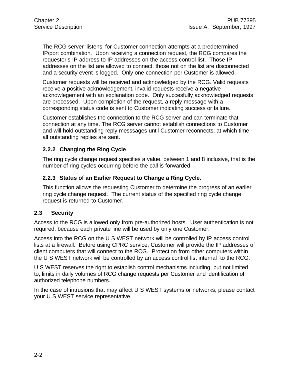The RCG server 'listens' for Customer connection attempts at a predetermined IP/port combination. Upon receiving a connection request, the RCG compares the requestor's IP address to IP addresses on the access control list. Those IP addresses on the list are allowed to connect, those not on the list are disconnected and a security event is logged. Only one connection per Customer is allowed.

Customer requests will be received and acknowledged by the RCG. Valid requests receive a positive acknowledgement, invalid requests receive a negative acknowlegement with an explanation code. Only succesfully acknowledged requests are processed. Upon completion of the request, a reply message with a corresponding status code is sent to Customer indicating success or failure.

Customer establishes the connection to the RCG server and can terminate that connection at any time. The RCG server cannot establish connections to Customer and will hold outstanding reply messsages until Customer reconnects, at which time all outstanding replies are sent.

#### **2.2.2 Changing the Ring Cycle**

The ring cycle change request specifies a value, between 1 and 8 inclusive, that is the number of ring cycles occurring before the call is forwarded.

#### **2.2.3 Status of an Earlier Request to Change a Ring Cycle.**

This function allows the requesting Customer to determine the progress of an earlier ring cycle change request. The current status of the specified ring cycle change request is returned to Customer.

#### **2.3 Security**

Access to the RCG is allowed only from pre-authorized hosts. User authentication is not required, because each private line will be used by only one Customer.

Access into the RCG on the U S WEST network will be controlled by IP access control lists at a firewall. Before using CPRC service, Customer will provide the IP addresses of client computers that will connect to the RCG. Protection from other computers within the U S WEST network will be controlled by an access control list internal to the RCG.

U S WEST reserves the right to establish control mechanisms including, but not limited to, limits in daily volumes of RCG change requests per Customer and identification of authorized telephone numbers.

In the case of intrusions that may affect U S WEST systems or networks, please contact your U S WEST service representative.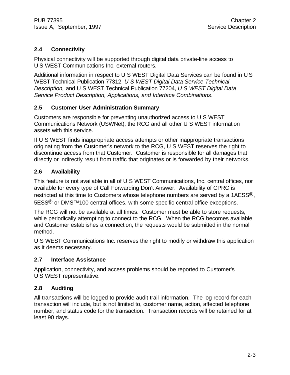#### **2.4 Connectivity**

Physical connectivity will be supported through digital data private-line access to U S WEST Communications Inc. external routers.

Additional information in respect to U S WEST Digital Data Services can be found in U S WEST Technical Publication 77312, *U S WEST Digital Data Service Technical Description,* and U S WEST Technical Publication 77204, *U S WEST Digital Data Service Product Description, Applications, and Interface Combinations*.

#### **2.5 Customer User Administration Summary**

Customers are responsible for preventing unauthorized access to U S WEST Communications Network (USWNet), the RCG and all other U S WEST information assets with this service.

If U S WEST finds inappropriate access attempts or other inappropriate transactions originating from the Customer's network to the RCG, U S WEST reserves the right to discontinue access from that Customer. Customer is responsible for all damages that directly or indirectly result from traffic that originates or is forwarded by their networks.

#### **2.6 Availability**

This feature is not available in all of U S WEST Communications, Inc. central offices, nor available for every type of Call Forwarding Don't Answer. Availability of CPRC is restricted at this time to Customers whose telephone numbers are served by a 1AESS®, 5ESS<sup>®</sup> or DMS<sup>™</sup>100 central offices, with some specific central office exceptions.

The RCG will not be available at all times. Customer must be able to store requests, while periodically attempting to connect to the RCG. When the RCG becomes available and Customer establishes a connection, the requests would be submitted in the normal method.

U S WEST Communications Inc. reserves the right to modify or withdraw this application as it deems necessary.

#### **2.7 Interface Assistance**

Application, connectivity, and access problems should be reported to Customer's U S WEST representative.

#### **2.8 Auditing**

All transactions will be logged to provide audit trail information. The log record for each transaction will include, but is not limited to, customer name, action, affected telephone number, and status code for the transaction. Transaction records will be retained for at least 90 days.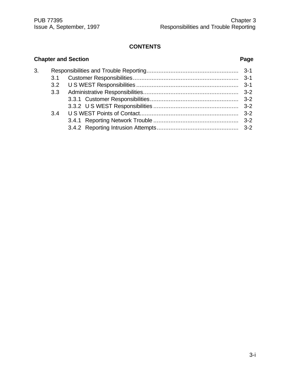## **Chapter and Section Page** 3. Responsibilities and Trouble Reporting...................................................... 3-1 3.1 Customer Responsibilities.............................................................. 3-1 3.2 U S WEST Responsibilities ............................................................ 3-1 3.3 Administrative Responsibilities........................................................ 3-2 3.3.1 Customer Responsibilities.................................................... 3-2 3.3.2 U S WEST Responsibilities .................................................. 3-2 3.4 U S WEST Points of Contact.......................................................... 3-2 3.4.1 Reporting Network Trouble .................................................. 3-2 3.4.2 Reporting Intrusion Attempts................................................ 3-2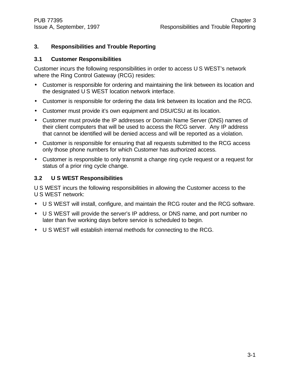#### **3. Responsibilities and Trouble Reporting**

#### **3.1 Customer Responsibilities**

Customer incurs the following responsibilities in order to access U S WEST's network where the Ring Control Gateway (RCG) resides:

- Customer is responsible for ordering and maintaining the link between its location and the designated U S WEST location network interface.
- Customer is responsible for ordering the data link between its location and the RCG.
- Customer must provide it's own equipment and DSU/CSU at its location.
- Customer must provide the IP addresses or Domain Name Server (DNS) names of their client computers that will be used to access the RCG server. Any IP address that cannot be identified will be denied access and will be reported as a violation.
- Customer is responsible for ensuring that all requests submitted to the RCG access only those phone numbers for which Customer has authorized access.
- Customer is responsible to only transmit a change ring cycle request or a request for status of a prior ring cycle change.

#### **3.2 U S WEST Responsibilities**

U S WEST incurs the following responsibilities in allowing the Customer access to the U S WEST network:

- U S WEST will install, configure, and maintain the RCG router and the RCG software.
- U S WEST will provide the server's IP address, or DNS name, and port number no later than five working days before service is scheduled to begin.
- U S WEST will establish internal methods for connecting to the RCG.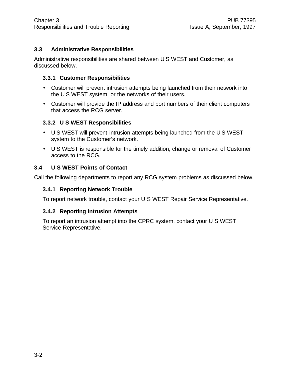#### **3.3 Administrative Responsibilities**

Administrative responsibilities are shared between U S WEST and Customer, as discussed below.

#### **3.3.1 Customer Responsibilities**

- Customer will prevent intrusion attempts being launched from their network into the U S WEST system, or the networks of their users.
- Customer will provide the IP address and port numbers of their client computers that access the RCG server.

#### **3.3.2 U S WEST Responsibilities**

- U S WEST will prevent intrusion attempts being launched from the U S WEST system to the Customer's network.
- U S WEST is responsible for the timely addition, change or removal of Customer access to the RCG.

#### **3.4 U S WEST Points of Contact**

Call the following departments to report any RCG system problems as discussed below.

#### **3.4.1 Reporting Network Trouble**

To report network trouble, contact your U S WEST Repair Service Representative.

#### **3.4.2 Reporting Intrusion Attempts**

To report an intrusion attempt into the CPRC system, contact your U S WEST Service Representative.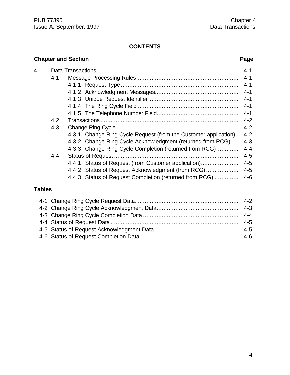|    |     | <b>Chapter and Section</b>                                       | Page    |
|----|-----|------------------------------------------------------------------|---------|
| 4. |     |                                                                  | $4 - 1$ |
|    | 4.1 |                                                                  | $4 - 1$ |
|    |     |                                                                  | $4 - 1$ |
|    |     |                                                                  | $4 - 1$ |
|    |     |                                                                  |         |
|    |     |                                                                  |         |
|    |     |                                                                  | $4 - 1$ |
|    | 4.2 |                                                                  | $4 - 2$ |
|    | 4.3 |                                                                  | $4 - 2$ |
|    |     | 4.3.1 Change Ring Cycle Request (from the Customer application). | $4 - 2$ |
|    |     | 4.3.2 Change Ring Cycle Acknowledgment (returned from RCG)       | $4 - 3$ |
|    |     | 4.3.3 Change Ring Cycle Completion (returned from RCG)           | $4 - 4$ |
|    | 4.4 |                                                                  | $4 - 5$ |
|    |     | 4.4.1 Status of Request (from Customer application)              | $4 - 5$ |
|    |     | 4.4.2 Status of Request Acknowledgment (from RCG)                | $4 - 5$ |
|    |     | 4.4.3 Status of Request Completion (returned from RCG)           | $4 - 6$ |

## **Tables**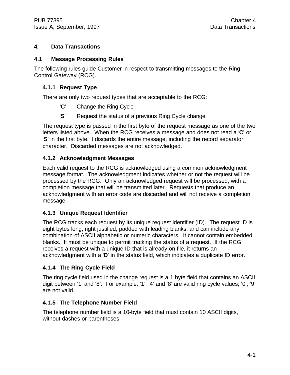#### **4. Data Transactions**

#### **4.1 Message Processing Rules**

The following rules guide Customer in respect to transmitting messages to the Ring Control Gateway (RCG).

#### **4.1.1 Request Type**

There are only two request types that are acceptable to the RCG:

- '**C**' Change the Ring Cycle
- '**S**' Request the status of a previous Ring Cycle change

The request type is passed in the first byte of the request message as one of the two letters listed above. When the RCG receives a message and does not read a '**C**' or '**S**' in the first byte, it discards the entire message, including the record separator character. Discarded messages are not acknowledged.

#### **4.1.2 Acknowledgment Messages**

Each valid request to the RCG is acknowledged using a common acknowledgment message format. The acknowledgment indicates whether or not the request will be processed by the RCG. Only an acknowledged request will be processed, with a completion message that will be transmitted later. Requests that produce an acknowledgment with an error code are discarded and will not receive a completion message.

#### **4.1.3 Unique Request Identifier**

The RCG tracks each request by its unique request identifier (ID). The request ID is eight bytes long, right justified, padded with leading blanks, and can include any combination of ASCII alphabetic or numeric characters. It cannot contain embedded blanks. It must be unique to permit tracking the status of a request. If the RCG receives a request with a unique ID that is already on file, it returns an acknowledgment with a '**D**' in the status field, which indicates a duplicate ID error.

#### **4.1.4 The Ring Cycle Field**

The ring cycle field used in the change request is a 1 byte field that contains an ASCII digit between '1' and '8'. For example, '1', '4' and '8' are valid ring cycle values; '0', '9' are not valid.

#### **4.1.5 The Telephone Number Field**

The telephone number field is a 10-byte field that must contain 10 ASCII digits, without dashes or parentheses.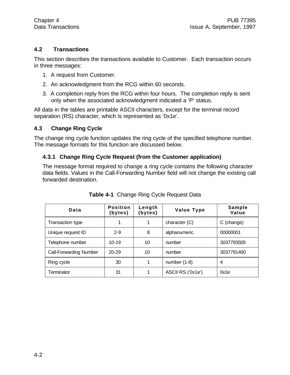#### **4.2 Transactions**

This section describes the transactions available to Customer. Each transaction occurs in three messages:

- 1. A request from Customer.
- 2. An acknowledgment from the RCG within 60 seconds.
- 3. A completion reply from the RCG within four hours. The completion reply is sent only when the associated acknowledgment indicated a 'P' status.

All data in the tables are printable ASCII characters, except for the terminal record separation (RS) character, which is represented as '0x1e'.

#### **4.3 Change Ring Cycle**

The change ring cycle function updates the ring cycle of the specified telephone number. The message formats for this function are discussed below.

#### **4.3.1 Change Ring Cycle Request (from the Customer application)**

The message format required to change a ring cycle contains the following character data fields. Values in the Call-Forwarding Number field will not change the existing call forwarded destination.

| Data                          | <b>Position</b><br>(bytes) | Length<br>(bytes) | Value Type        | Sample<br>Value |
|-------------------------------|----------------------------|-------------------|-------------------|-----------------|
| Transaction type              |                            |                   | character (C)     | C (change)      |
| Unique request ID             | $2 - 9$                    | 8                 | alphanumeric      | 00000001        |
| Telephone number              | $10 - 19$                  | 10                | number            | 3037793505      |
| <b>Call-Forwarding Number</b> | $20 - 29$                  | 10                | number            | 3037791400      |
| Ring cycle                    | 30                         |                   | number $(1-8)$    | 4               |
| Terminator                    | 31                         |                   | ASCII RS ('0x1e') | 0x1e            |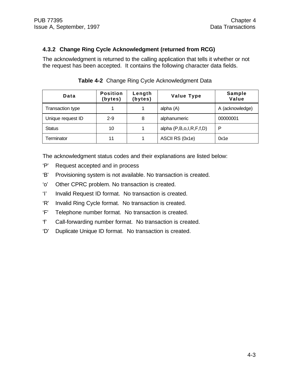#### **4.3.2 Change Ring Cycle Acknowledgment (returned from RCG)**

The acknowledgment is returned to the calling application that tells it whether or not the request has been accepted. It contains the following character data fields.

| Data              | <b>Position</b><br>(bytes) | Length<br>(bytes) | <b>Value Type</b>       | Sample<br>Value |
|-------------------|----------------------------|-------------------|-------------------------|-----------------|
| Transaction type  |                            |                   | alpha (A)               | A (acknowledge) |
| Unique request ID | $2 - 9$                    | 8                 | alphanumeric            | 00000001        |
| <b>Status</b>     | 10                         |                   | alpha (P,B,o,I,R,F,f,D) | P               |
| Terminator        | 11                         |                   | ASCII RS (0x1e)         | 0x1e            |

**Table 4-2** Change Ring Cycle Acknowledgment Data

The acknowledgment status codes and their explanations are listed below:

- 'P' Request accepted and in process
- 'B' Provisioning system is not available. No transaction is created.
- 'o' Other CPRC problem. No transaction is created.
- 'I' Invalid Request ID format. No transaction is created.
- 'R' Invalid Ring Cycle format. No transaction is created.
- 'F' Telephone number format. No transaction is created.
- 'f' Call-forwarding number format. No transaction is created.
- 'D' Duplicate Unique ID format. No transaction is created.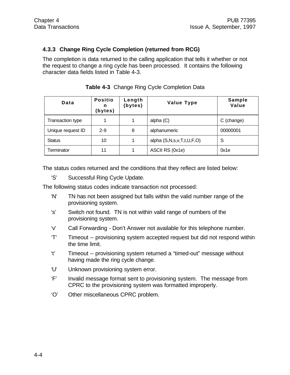#### **4.3.3 Change Ring Cycle Completion (returned from RCG)**

The completion is data returned to the calling application that tells it whether or not the request to change a ring cycle has been processed. It contains the following character data fields listed in Table 4-3.

| Data              | <b>Positio</b><br>n<br>(bytes) | Length<br>(bytes) | <b>Value Type</b>         | Sample<br>Value |
|-------------------|--------------------------------|-------------------|---------------------------|-----------------|
| Transaction type  |                                |                   | alpha $(C)$               | C (change)      |
| Unique request ID | $2 - 9$                        | 8                 | alphanumeric              | 00000001        |
| <b>Status</b>     | 10                             |                   | alpha (S,N,s,v,T,t,U,F,O) | S               |
| Terminator        | 11                             |                   | ASCII RS (0x1e)           | 0x1e            |

**Table 4-3** Change Ring Cycle Completion Data

The status codes returned and the conditions that they reflect are listed below:

'S' Successful Ring Cycle Update.

The following status codes indicate transaction not processed:

- 'N' TN has not been assigned but falls within the valid number range of the provisioning system.
- 's' Switch not found. TN is not within valid range of numbers of the provisioning system.
- 'v' Call Forwarding Don't Answer not available for this telephone number.
- 'T' Timeout -- provisioning system accepted request but did not respond within the time limit.
- 't' Timeout -- provisioning system returned a "timed-out" message without having made the ring cycle change.
- 'U' Unknown provisioning system error.
- 'F' Invalid message format sent to provisioning system. The message from CPRC to the provisioning system was formatted improperly.
- 'O' Other miscellaneous CPRC problem.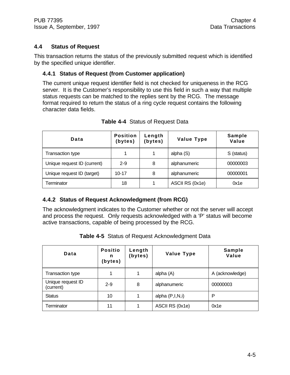#### **4.4 Status of Request**

This transaction returns the status of the previously submitted request which is identified by the specified unique identifier.

#### **4.4.1 Status of Request (from Customer application)**

The current unique request identifier field is not checked for uniqueness in the RCG server. It is the Customer's responsibility to use this field in such a way that multiple status requests can be matched to the replies sent by the RCG. The message format required to return the status of a ring cycle request contains the following character data fields.

| Data                        | <b>Position</b><br>(bytes) | Length<br>(bytes) | <b>Value Type</b> | <b>Sample</b><br>Value |
|-----------------------------|----------------------------|-------------------|-------------------|------------------------|
| <b>Transaction type</b>     |                            |                   | alpha (S)         | S (status)             |
| Unique request ID (current) | $2 - 9$                    | 8                 | alphanumeric      | 00000003               |
| Unique request ID (target)  | $10 - 17$                  | 8                 | alphanumeric      | 00000001               |
| Terminator                  | 18                         |                   | ASCII RS (0x1e)   | 0x1e                   |

#### **Table 4-4** Status of Request Data

#### **4.4.2 Status of Request Acknowledgment (from RCG)**

The acknowledgment indicates to the Customer whether or not the server will accept and process the request. Only requests acknowledged with a 'P' status will become active transactions, capable of being processed by the RCG.

| Data                           | <b>Positio</b><br>n<br>(bytes) | Length<br>(bytes) | <b>Value Type</b> | <b>Sample</b><br>Value |
|--------------------------------|--------------------------------|-------------------|-------------------|------------------------|
| Transaction type               |                                |                   | alpha (A)         | A (acknowledge)        |
| Unique request ID<br>(current) | $2 - 9$                        | 8                 | alphanumeric      | 00000003               |
| <b>Status</b>                  | 10                             |                   | alpha $(P,I,N,i)$ | P                      |
| Terminator                     | 11                             |                   | ASCII RS (0x1e)   | 0x1e                   |

**Table 4-5** Status of Request Acknowledgment Data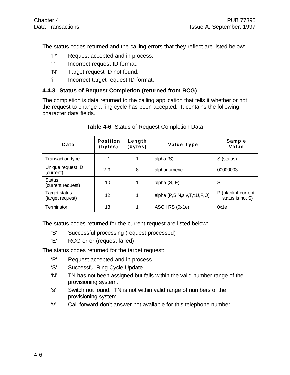The status codes returned and the calling errors that they reflect are listed below:

- 'P' Request accepted and in process.
- 'I' Incorrect request ID format.
- 'N' Target request ID not found.
- 'i' Incorrect target request ID format.

#### **4.4.3 Status of Request Completion (returned from RCG)**

The completion is data returned to the calling application that tells it whether or not the request to change a ring cycle has been accepted. It contains the following character data fields.

| Data                                     | <b>Position</b><br>(bytes) | Length<br>(bytes) | <b>Value Type</b>           | Sample<br>Value                         |
|------------------------------------------|----------------------------|-------------------|-----------------------------|-----------------------------------------|
| <b>Transaction type</b>                  |                            | 1                 | alpha (S)                   | S (status)                              |
| Unique request ID<br>(current)           | $2 - 9$                    | 8                 | alphanumeric                | 00000003                                |
| <b>Status</b><br>(current request)       | 10                         | 1                 | alpha $(S, E)$              | S                                       |
| <b>Target status</b><br>(target request) | 12                         | 1                 | alpha (P,S,N,s,v,T,t,U,F,O) | P (blank if current<br>status is not S) |
| Terminator                               | 13                         | 1                 | ASCII RS (0x1e)             | 0x1e                                    |

#### **Table 4-6** Status of Request Completion Data

The status codes returned for the current request are listed below:

- 'S' Successful processing (request processed)
- 'E' RCG error (request failed)

The status codes returned for the target request:

- 'P' Request accepted and in process.
- 'S' Successful Ring Cycle Update.
- 'N' TN has not been assigned but falls within the valid number range of the provisioning system.
- 's' Switch not found. TN is not within valid range of numbers of the provisioning system.
- 'v' Call-forward-don't answer not available for this telephone number.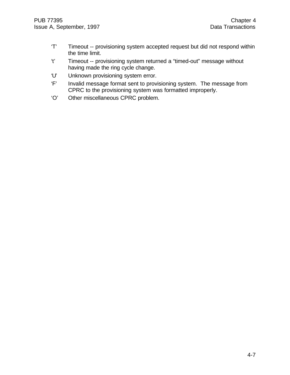- 'T' Timeout -- provisioning system accepted request but did not respond within the time limit.
- 't' Timeout -- provisioning system returned a "timed-out" message without having made the ring cycle change.
- 'U' Unknown provisioning system error.
- 'F' Invalid message format sent to provisioning system. The message from CPRC to the provisioning system was formatted improperly.
- 'O' Other miscellaneous CPRC problem.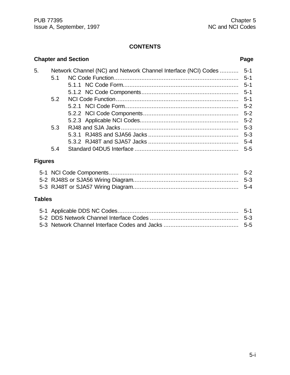|                |                                                                | <b>Chapter and Section</b> | Page    |  |  |  |
|----------------|----------------------------------------------------------------|----------------------------|---------|--|--|--|
| 5.             | Network Channel (NC) and Network Channel Interface (NCI) Codes |                            |         |  |  |  |
|                | 5.1                                                            |                            | $5 - 1$ |  |  |  |
|                |                                                                |                            | $5 - 1$ |  |  |  |
|                |                                                                |                            | $5 - 1$ |  |  |  |
|                | 5.2                                                            |                            | $5 - 1$ |  |  |  |
|                |                                                                |                            | $5 - 2$ |  |  |  |
|                |                                                                |                            | $5 - 2$ |  |  |  |
|                |                                                                |                            | $5-2$   |  |  |  |
|                | 5.3                                                            |                            | $5 - 3$ |  |  |  |
|                |                                                                |                            | $5 - 3$ |  |  |  |
|                |                                                                |                            | $5 - 4$ |  |  |  |
|                | 5.4                                                            |                            | $5 - 5$ |  |  |  |
| <b>Figures</b> |                                                                |                            |         |  |  |  |
|                |                                                                |                            | $5 - 2$ |  |  |  |
|                |                                                                |                            | $5 - 3$ |  |  |  |

#### **Tables**

5-3 RJ48T or SJA57 Wiring Diagram.............................................................. 5-4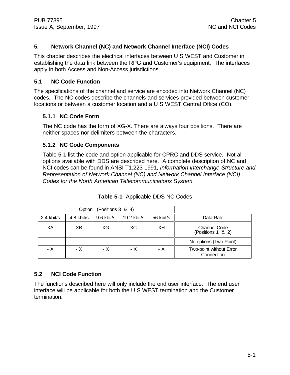#### **5. Network Channel (NC) and Network Channel Interface (NCI) Codes**

This chapter describes the electrical interfaces between U S WEST and Customer in establishing the data link between the RPG and Customer's equipment. The interfaces apply in both Access and Non-Access jurisdictions.

#### **5.1 NC Code Function**

The specifications of the channel and service are encoded into Network Channel (NC) codes. The NC codes describe the channels and services provided between customer locations or between a customer location and a U S WEST Central Office (CO).

#### **5.1.1 NC Code Form**

The NC code has the form of XG-X. There are always four positions. There are neither spaces nor delimiters between the characters.

#### **5.1.2 NC Code Components**

Table 5-1 list the code and option applicable for CPRC and DDS service. Not all options available with DDS are described here. A complete description of NC and NCI codes can be found in ANSI T1.223-1991, *Information interchange-Structure and Representation of Network Channel (NC) and Network Channel Interface (NCI) Codes for the North American Telecommunications System.*

|            | Option     |              |               |           |                                          |
|------------|------------|--------------|---------------|-----------|------------------------------------------|
| 2.4 kbit/s | 4.8 kbit/s | $9.6$ kbit/s | $19.2$ kbit/s | 56 kbit/s | Data Rate                                |
| XΑ         | ХB         | XG           | ХC            | XH        | <b>Channel Code</b><br>(Positions 1 & 2) |
|            |            |              |               |           | No options (Two-Point)                   |
| - X        | - X        | - X          | - X           | - X       | Two-point without Error<br>Connection    |

**Table 5-1** Applicable DDS NC Codes

#### **5.2 NCI Code Function**

The functions described here will only include the end user interface. The end user interface will be applicable for both the U S WEST termination and the Customer termination.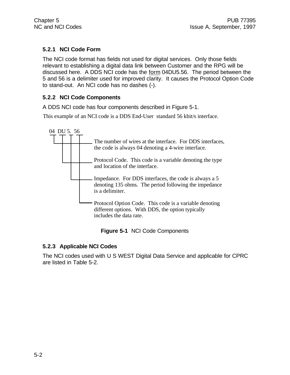#### **5.2.1 NCI Code Form**

The NCI code format has fields not used for digital services. Only those fields relevant to establishing a digital data link between Customer and the RPG will be discussed here. A DDS NCI code has the form 04DU5.56. The period between the 5 and 56 is a delimiter used for improved clarity. It causes the Protocol Option Code to stand-out. An NCI code has no dashes (-).

#### **5.2.2 NCI Code Components**

A DDS NCI code has four components described in Figure 5-1.

This example of an NCI code is a DDS End-User standard 56 kbit/s interface.



|  |  | Figure 5-1 NCI Code Components |
|--|--|--------------------------------|
|--|--|--------------------------------|

#### **5.2.3 Applicable NCI Codes**

The NCI codes used with U S WEST Digital Data Service and applicable for CPRC are listed in Table 5-2.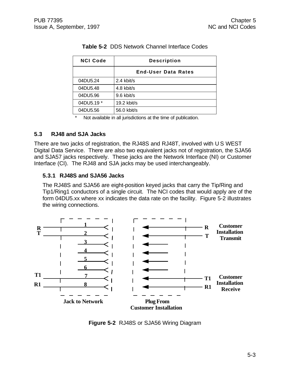| <b>NCI Code</b> | <b>Description</b>         |  |  |
|-----------------|----------------------------|--|--|
|                 | <b>End-User Data Rates</b> |  |  |
| 04DU5.24        | 2.4 kbit/s                 |  |  |
| 04DU5.48        | 4.8 kbit/s                 |  |  |
| 04DU5.96        | 9.6 kbit/s                 |  |  |
| 04DU5.19 *      | 19.2 kbit/s                |  |  |
| 04DU5.56        | 56.0 kbit/s                |  |  |

#### **Table 5-2** DDS Network Channel Interface Codes

\* Not available in all jurisdictions at the time of publication.

#### **5.3 RJ48 and SJA Jacks**

There are two jacks of registration, the RJ48S and RJ48T, involved with U S WEST Digital Data Service. There are also two equivalent jacks not of registration, the SJA56 and SJA57 jacks respectively. These jacks are the Network Interface (NI) or Customer Interface (CI). The RJ48 and SJA jacks may be used interchangeably.

#### **5.3.1 RJ48S and SJA56 Jacks**

The RJ48S and SJA56 are eight-position keyed jacks that carry the Tip/Ring and Tip1/Ring1 conductors of a single circuit. The NCI codes that would apply are of the form 04DU5.xx where xx indicates the data rate on the facility. Figure 5-2 illustrates the wiring connections.



**Figure 5-2** RJ48S or SJA56 Wiring Diagram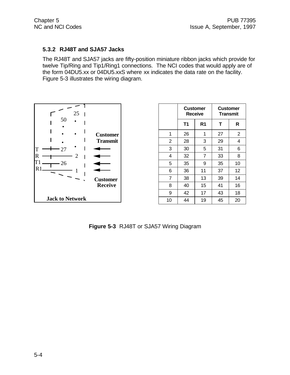#### **5.3.2 RJ48T and SJA57 Jacks**

The RJ48T and SJA57 jacks are fifty-position miniature ribbon jacks which provide for twelve Tip/Ring and Tip1/Ring1 connections. The NCI codes that would apply are of the form 04DU5.xx or 04DU5.xxS where xx indicates the data rate on the facility. Figure 5-3 illustrates the wiring diagram.



|                | <b>Customer</b> | <b>Receive</b> | Customer<br><b>Transmit</b> |                |
|----------------|-----------------|----------------|-----------------------------|----------------|
|                | <b>T1</b>       | R <sub>1</sub> | т                           | R              |
| 1              | 26              | 1              | 27                          | $\overline{2}$ |
| $\overline{2}$ | 28              | 3              | 29                          | 4              |
| 3              | 30              | 5              | 31                          | 6              |
| 4              | 32              | 7              | 33                          | 8              |
| 5              | 35              | 9              | 35                          | 10             |
| 6              | 36              | 11             | 37                          | 12             |
| $\overline{7}$ | 38              | 13             | 39                          | 14             |
| 8              | 40              | 15             | 41                          | 16             |
| 9              | 42              | 17             | 43                          | 18             |
| 10             | 44              | 19             | 45                          | 20             |

**Figure 5-3** RJ48T or SJA57 Wiring Diagram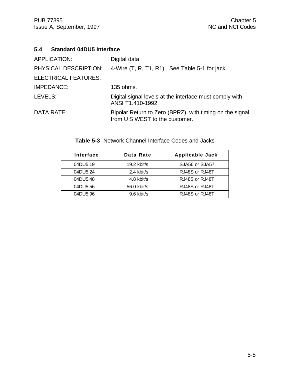#### **5.4 Standard 04DU5 Interface**

| APPLICATION:                | Digital data                                                                               |
|-----------------------------|--------------------------------------------------------------------------------------------|
| PHYSICAL DESCRIPTION:       | 4-Wire (T, R, T1, R1). See Table 5-1 for jack.                                             |
| <b>ELECTRICAL FEATURES:</b> |                                                                                            |
| IMPEDANCE:                  | 135 ohms.                                                                                  |
| LEVELS:                     | Digital signal levels at the interface must comply with<br>ANSI T1.410-1992.               |
| DATA RATE:                  | Bipolar Return to Zero (BPRZ), with timing on the signal<br>from U S WEST to the customer. |

| Interface | Data Rate     | <b>Applicable Jack</b> |
|-----------|---------------|------------------------|
| 04DU5.19  | $19.2$ kbit/s | SJA56 or SJA57         |
| 04DU5.24  | 2.4 kbit/s    | RJ48S or RJ48T         |
| 04DU5.48  | 4.8 kbit/s    | RJ48S or RJ48T         |
| 04DU5.56  | 56.0 kbit/s   | RJ48S or RJ48T         |
| 04DU5.96  | $9.6$ kbit/s  | RJ48S or RJ48T         |

**Table 5-3** Network Channel Interface Codes and Jacks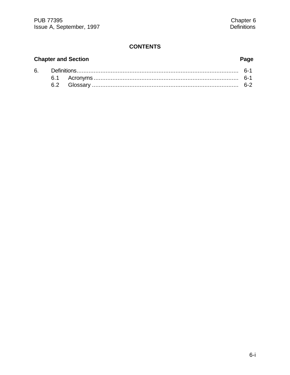# **Chapter and Section**

6.

# Page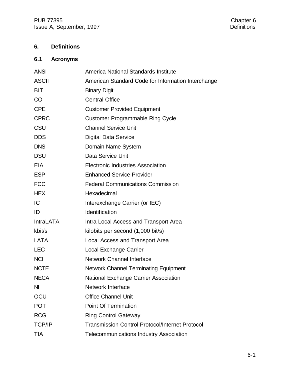# **6. Definitions**

# **6.1 Acronyms**

| <b>ANSI</b>      | America National Standards Institute                   |
|------------------|--------------------------------------------------------|
| <b>ASCII</b>     | American Standard Code for Information Interchange     |
| <b>BIT</b>       | <b>Binary Digit</b>                                    |
| <b>CO</b>        | <b>Central Office</b>                                  |
| <b>CPE</b>       | <b>Customer Provided Equipment</b>                     |
| <b>CPRC</b>      | <b>Customer Programmable Ring Cycle</b>                |
| CSU              | <b>Channel Service Unit</b>                            |
| <b>DDS</b>       | <b>Digital Data Service</b>                            |
| <b>DNS</b>       | Domain Name System                                     |
| <b>DSU</b>       | Data Service Unit                                      |
| <b>EIA</b>       | <b>Electronic Industries Association</b>               |
| <b>ESP</b>       | <b>Enhanced Service Provider</b>                       |
| <b>FCC</b>       | <b>Federal Communications Commission</b>               |
| <b>HEX</b>       | Hexadecimal                                            |
| IC               | Interexchange Carrier (or IEC)                         |
| ID               | Identification                                         |
| <b>IntraLATA</b> | Intra Local Access and Transport Area                  |
| kbit/s           | kilobits per second (1,000 bit/s)                      |
| <b>LATA</b>      | Local Access and Transport Area                        |
| <b>LEC</b>       | Local Exchange Carrier                                 |
| <b>NCI</b>       | <b>Network Channel Interface</b>                       |
| <b>NCTE</b>      | <b>Network Channel Terminating Equipment</b>           |
| <b>NECA</b>      | National Exchange Carrier Association                  |
| N <sub>l</sub>   | Network Interface                                      |
| OCU              | <b>Office Channel Unit</b>                             |
| <b>POT</b>       | <b>Point Of Termination</b>                            |
| <b>RCG</b>       | <b>Ring Control Gateway</b>                            |
| <b>TCP/IP</b>    | <b>Transmission Control Protocol/Internet Protocol</b> |
| <b>TIA</b>       | <b>Telecommunications Industry Association</b>         |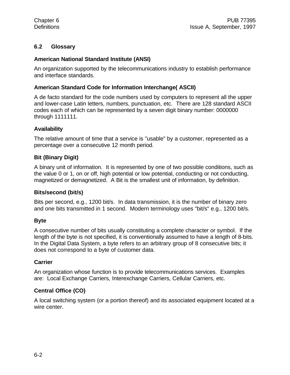#### **6.2 Glossary**

#### **American National Standard Institute (ANSI)**

An organization supported by the telecommunications industry to establish performance and interface standards.

#### **American Standard Code for Information Interchange( ASCII)**

A de facto standard for the code numbers used by computers to represent all the upper and lower-case Latin letters, numbers, punctuation, etc. There are 128 standard ASCII codes each of which can be represented by a seven digit binary number: 0000000 through 1111111.

#### **Availability**

The relative amount of time that a service is "usable" by a customer, represented as a percentage over a consecutive 12 month period.

#### **Bit (Binary Digit)**

A binary unit of information. It is represented by one of two possible conditions, such as the value 0 or 1, on or off, high potential or low potential, conducting or not conducting, magnetized or demagnetized. A Bit is the smallest unit of information, by definition.

#### **Bits/second (bit/s)**

Bits per second, e.g., 1200 bit/s. In data transmission, it is the number of binary zero and one bits transmitted in 1 second. Modern terminology uses "bit/s" e.g., 1200 bit/s.

#### **Byte**

A consecutive number of bits usually constituting a complete character or symbol. If the length of the byte is not specified, it is conventionally assumed to have a length of 8-bits. In the Digital Data System, a byte refers to an arbitrary group of 8 consecutive bits; it does not correspond to a byte of customer data.

#### **Carrier**

An organization whose function is to provide telecommunications services. Examples are: Local Exchange Carriers, Interexchange Carriers, Cellular Carriers, etc.

#### **Central Office (CO)**

A local switching system (or a portion thereof) and its associated equipment located at a wire center.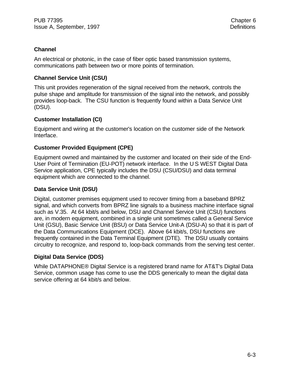#### **Channel**

An electrical or photonic, in the case of fiber optic based transmission systems, communications path between two or more points of termination.

#### **Channel Service Unit (CSU)**

This unit provides regeneration of the signal received from the network, controls the pulse shape and amplitude for transmission of the signal into the network, and possibly provides loop-back. The CSU function is frequently found within a Data Service Unit (DSU).

#### **Customer Installation (CI)**

Equipment and wiring at the customer's location on the customer side of the Network Interface.

#### **Customer Provided Equipment (CPE)**

Equipment owned and maintained by the customer and located on their side of the End-User Point of Termination (EU-POT) network interface. In the U S WEST Digital Data Service application, CPE typically includes the DSU (CSU/DSU) and data terminal equipment which are connected to the channel.

#### **Data Service Unit (DSU)**

Digital, customer premises equipment used to recover timing from a baseband BPRZ signal, and which converts from BPRZ line signals to a business machine interface signal such as V.35. At 64 kbit/s and below, DSU and Channel Service Unit (CSU) functions are, in modern equipment, combined in a single unit sometimes called a General Service Unit (GSU), Basic Service Unit (BSU) or Data Service Unit-A (DSU-A) so that it is part of the Data Communications Equipment (DCE). Above 64 kbit/s, DSU functions are frequently contained in the Data Terminal Equipment (DTE). The DSU usually contains circuitry to recognize, and respond to, loop-back commands from the serving test center.

#### **Digital Data Service (DDS)**

While DATAPHONE® Digital Service is a registered brand name for AT&T's Digital Data Service, common usage has come to use the DDS generically to mean the digital data service offering at 64 kbit/s and below.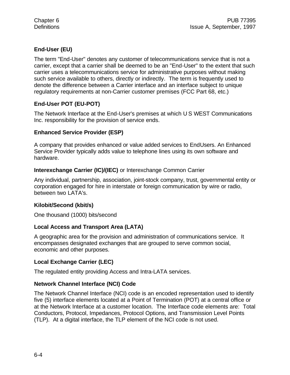#### **End-User (EU)**

The term "End-User" denotes any customer of telecommunications service that is not a carrier, except that a carrier shall be deemed to be an "End-User" to the extent that such carrier uses a telecommunications service for administrative purposes without making such service available to others, directly or indirectly. The term is frequently used to denote the difference between a Carrier interface and an interface subject to unique regulatory requirements at non-Carrier customer premises (FCC Part 68, etc.)

#### **End-User POT (EU-POT)**

The Network Interface at the End-User's premises at which U S WEST Communications Inc. responsibility for the provision of service ends.

#### **Enhanced Service Provider (ESP)**

A company that provides enhanced or value added services to EndUsers. An Enhanced Service Provider typically adds value to telephone lines using its own software and hardware.

#### **Interexchange Carrier (IC)/(IEC)** or Interexchange Common Carrier

Any individual, partnership, association, joint-stock company, trust, governmental entity or corporation engaged for hire in interstate or foreign communication by wire or radio, between two LATA's.

#### **Kilobit/Second (kbit/s)**

One thousand (1000) bits/second

#### **Local Access and Transport Area (LATA)**

A geographic area for the provision and administration of communications service. It encompasses designated exchanges that are grouped to serve common social, economic and other purposes.

#### **Local Exchange Carrier (LEC)**

The regulated entity providing Access and Intra-LATA services.

#### **Network Channel Interface (NCI) Code**

The Network Channel Interface (NCI) code is an encoded representation used to identify five (5) interface elements located at a Point of Termination (POT) at a central office or at the Network Interface at a customer location. The Interface code elements are: Total Conductors, Protocol, Impedances, Protocol Options, and Transmission Level Points (TLP). At a digital interface, the TLP element of the NCI code is not used.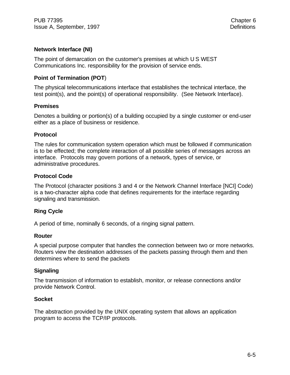#### **Network Interface (NI)**

The point of demarcation on the customer's premises at which U S WEST Communications Inc. responsibility for the provision of service ends.

#### **Point of Termination (POT**)

The physical telecommunications interface that establishes the technical interface, the test point(s), and the point(s) of operational responsibility. (See Network Interface).

#### **Premises**

Denotes a building or portion(s) of a building occupied by a single customer or end-user either as a place of business or residence.

#### **Protocol**

The rules for communication system operation which must be followed if communication is to be effected; the complete interaction of all possible series of messages across an interface. Protocols may govern portions of a network, types of service, or administrative procedures.

#### **Protocol Code**

The Protocol (character positions 3 and 4 or the Network Channel Interface [NCI] Code) is a two-character alpha code that defines requirements for the interface regarding signaling and transmission.

#### **Ring Cycle**

A period of time, nominally 6 seconds, of a ringing signal pattern.

#### **Router**

A special purpose computer that handles the connection between two or more networks. Routers view the destination addresses of the packets passing through them and then determines where to send the packets

#### **Signaling**

The transmission of information to establish, monitor, or release connections and/or provide Network Control.

#### **Socket**

The abstraction provided by the UNIX operating system that allows an application program to access the TCP/IP protocols.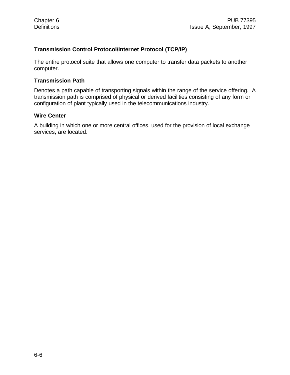#### **Transmission Control Protocol/Internet Protocol (TCP/IP)**

The entire protocol suite that allows one computer to transfer data packets to another computer.

#### **Transmission Path**

Denotes a path capable of transporting signals within the range of the service offering. A transmission path is comprised of physical or derived facilities consisting of any form or configuration of plant typically used in the telecommunications industry.

#### **Wire Center**

A building in which one or more central offices, used for the provision of local exchange services, are located.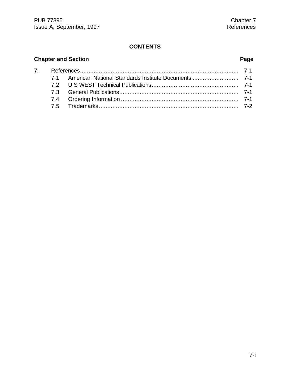# **Chapter and Section Page** 7. References............................................................................................. 7-1 7.1 American National Standards Institute Documents ........................... 7-1 7.2 U S WEST Technical Publications................................................... 7-1 7.3 General Publications...................................................................... 7-1

| 7.4 |  |
|-----|--|
|     |  |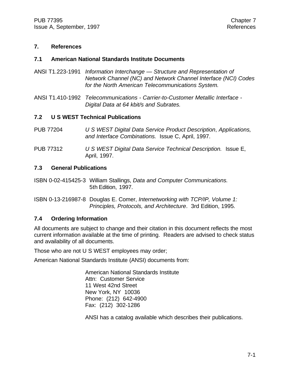#### **7. References**

#### **7.1 American National Standards Institute Documents**

- ANSI T1.223-1991 *Information Interchange Structure and Representation of Network Channel (NC) and Network Channel Interface (NCI) Codes for the North American Telecommunications System.*
- ANSI T1.410-1992 *Telecommunications Carrier-to-Customer Metallic Interface - Digital Data at 64 kbit/s and Subrates.*

#### **7.2 U S WEST Technical Publications**

- PUB 77204 *U S WEST Digital Data Service Product Description*, *Applications, and Interface Combinations.* Issue C, April, 1997.
- PUB 77312 *U S WEST Digital Data Service Technical Description.* Issue E, April, 1997.

#### **7.3 General Publications**

- ISBN 0-02-415425-3 William Stallings, *Data and Computer Communications.* 5th Edition, 1997.
- ISBN 0-13-216987-8 Douglas E. Comer, *Internetworking with TCP/IP, Volume 1: Principles, Protocols, and Architecture*. 3rd Edition, 1995.

#### **7.4 Ordering Information**

All documents are subject to change and their citation in this document reflects the most current information available at the time of printing. Readers are advised to check status and availability of all documents.

Those who are not U S WEST employees may order;

American National Standards Institute (ANSI) documents from:

American National Standards Institute Attn: Customer Service 11 West 42nd Street New York, NY 10036 Phone: (212) 642-4900 Fax: (212) 302-1286

ANSI has a catalog available which describes their publications.